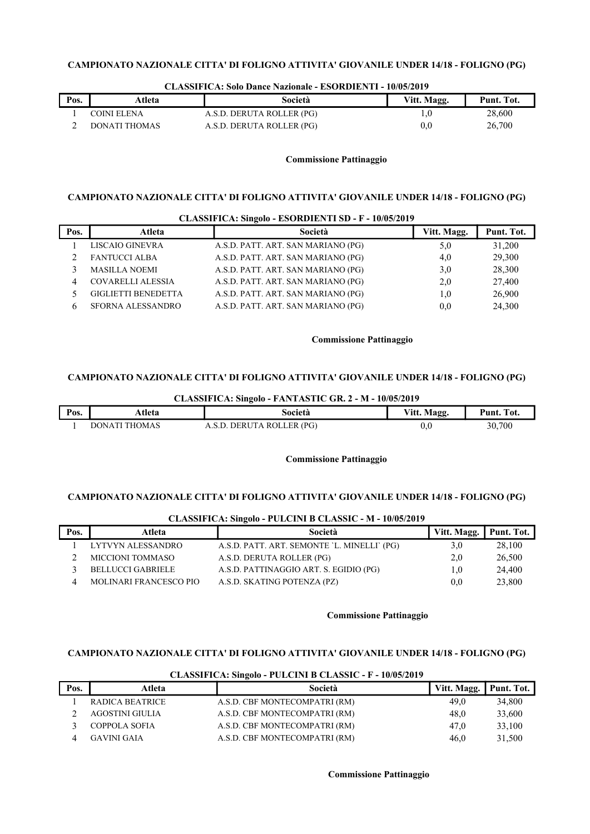| Pos. | Atleta        | Società                   | Vitt. Magg. | Punt. Tot. |
|------|---------------|---------------------------|-------------|------------|
|      | COINI ELENA   | A.S.D. DERUTA ROLLER (PG) | 1.0         | 28,600     |
|      | DONATI THOMAS | A.S.D. DERUTA ROLLER (PG) | 0.0         | 26,700     |

#### CLASSIFICA: Solo Dance Nazionale - ESORDIENTI - 10/05/2019

# Commissione Pattinaggio

### CAMPIONATO NAZIONALE CITTA' DI FOLIGNO ATTIVITA' GIOVANILE UNDER 14/18 - FOLIGNO (PG)

|      |                            | CLASSIFICA: Singolo - ESORDIENTI SD - F - 10/05/2019 |             |            |
|------|----------------------------|------------------------------------------------------|-------------|------------|
| Pos. | Atleta                     | Società                                              | Vitt. Magg. | Punt. Tot. |
|      | LISCAIO GINEVRA            | A.S.D. PATT. ART. SAN MARIANO (PG)                   | 5,0         | 31,200     |
|      | <b>FANTUCCI ALBA</b>       | A.S.D. PATT. ART. SAN MARIANO (PG)                   | 4,0         | 29,300     |
|      | <b>MASILLA NOEMI</b>       | A.S.D. PATT. ART. SAN MARIANO (PG)                   | 3,0         | 28,300     |
| 4    | <b>COVARELLI ALESSIA</b>   | A.S.D. PATT. ART. SAN MARIANO (PG)                   | 2,0         | 27,400     |
|      | <b>GIGLIETTI BENEDETTA</b> | A.S.D. PATT. ART. SAN MARIANO (PG)                   | 1,0         | 26,900     |
| 6    | SFORNA ALESSANDRO          | A.S.D. PATT. ART. SAN MARIANO (PG)                   | 0,0         | 24,300     |

### Commissione Pattinaggio

### CAMPIONATO NAZIONALE CITTA' DI FOLIGNO ATTIVITA' GIOVANILE UNDER 14/18 - FOLIGNO (PG)

| CLASSIFICA: Singolo - FANTASTIC GR. 2 - M - 10/05/2019 |               |                           |             |            |
|--------------------------------------------------------|---------------|---------------------------|-------------|------------|
| Pos.                                                   | Atleta        | Società                   | Vitt. Magg. | Punt. Tot. |
|                                                        | DONATI THOMAS | A.S.D. DERUTA ROLLER (PG) | 0,0         | 30.700     |

### Commissione Pattinaggio

### CAMPIONATO NAZIONALE CITTA' DI FOLIGNO ATTIVITA' GIOVANILE UNDER 14/18 - FOLIGNO (PG)

| CLASSIFICA, SHIGOIO - I ULCINI D'CLASSIC - M - IV/V3/2017 |                               |                                             |             |            |
|-----------------------------------------------------------|-------------------------------|---------------------------------------------|-------------|------------|
| Pos.                                                      | Atleta                        | Società                                     | Vitt. Magg. | Punt. Tot. |
|                                                           | LYTVYN ALESSANDRO             | A.S.D. PATT. ART. SEMONTE 'L. MINELLI' (PG) | 3,0         | 28,100     |
|                                                           | <b>MICCIONI TOMMASO</b>       | A.S.D. DERUTA ROLLER (PG)                   | 2,0         | 26,500     |
|                                                           | <b>BELLUCCI GABRIELE</b>      | A.S.D. PATTINAGGIO ART. S. EGIDIO (PG)      | 1.0         | 24,400     |
|                                                           | <b>MOLINARI FRANCESCO PIO</b> | A.S.D. SKATING POTENZA (PZ)                 | 0.0         | 23,800     |
|                                                           |                               |                                             |             |            |

### CLASSIFICA: Singolo - PULCINI B CLASSIC - M - 10/05/2019

### Commissione Pattinaggio

### CAMPIONATO NAZIONALE CITTA' DI FOLIGNO ATTIVITA' GIOVANILE UNDER 14/18 - FOLIGNO (PG)

|      |                        | CLASSIFICA, SHIZUR - I ULCHAI D'CLASSIC - F - IV/03/2012 |             |            |
|------|------------------------|----------------------------------------------------------|-------------|------------|
| Pos. | Atleta                 | Società                                                  | Vitt. Magg. | Punt. Tot. |
|      | <b>RADICA BEATRICE</b> | A.S.D. CBF MONTECOMPATRI (RM)                            | 49.0        | 34,800     |
|      | AGOSTINI GIULIA        | A.S.D. CBF MONTECOMPATRI (RM)                            | 48.0        | 33,600     |
|      | COPPOLA SOFIA          | A.S.D. CBF MONTECOMPATRI (RM)                            | 47.0        | 33,100     |
|      | <b>GAVINI GAIA</b>     | A.S.D. CBF MONTECOMPATRI (RM)                            | 46.0        | 31,500     |

#### CLASSIFICA: Singolo - PULCINI B CLASSIC - F - 10/05/2019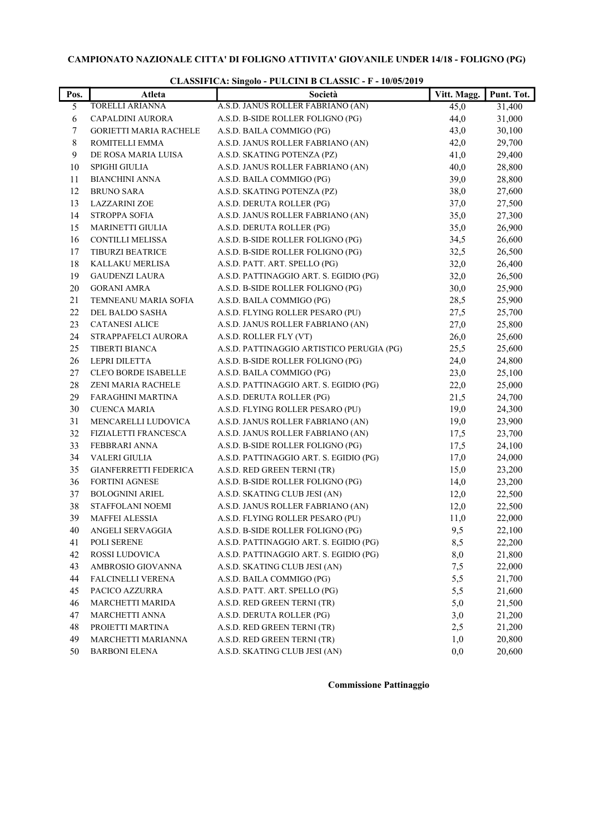| Pos. | Atleta                        | CLASSIFICA. SHIGOO - I ULCHAI D CLASSIC - F - IV/03/2017<br>Società | Vitt. Magg. | Punt. Tot. |
|------|-------------------------------|---------------------------------------------------------------------|-------------|------------|
| 5    | TORELLI ARIANNA               | A.S.D. JANUS ROLLER FABRIANO (AN)                                   | 45,0        | 31,400     |
| 6    | CAPALDINI AURORA              | A.S.D. B-SIDE ROLLER FOLIGNO (PG)                                   | 44,0        | 31,000     |
| 7    | <b>GORIETTI MARIA RACHELE</b> | A.S.D. BAILA COMMIGO (PG)                                           | 43,0        | 30,100     |
| 8    | ROMITELLI EMMA                | A.S.D. JANUS ROLLER FABRIANO (AN)                                   | 42,0        | 29,700     |
| 9    | DE ROSA MARIA LUISA           | A.S.D. SKATING POTENZA (PZ)                                         | 41,0        | 29,400     |
| 10   | SPIGHI GIULIA                 | A.S.D. JANUS ROLLER FABRIANO (AN)                                   | 40,0        | 28,800     |
| 11   | <b>BIANCHINI ANNA</b>         | A.S.D. BAILA COMMIGO (PG)                                           | 39,0        | 28,800     |
| 12   | <b>BRUNO SARA</b>             | A.S.D. SKATING POTENZA (PZ)                                         | 38,0        | 27,600     |
| 13   | <b>LAZZARINI ZOE</b>          | A.S.D. DERUTA ROLLER (PG)                                           | 37,0        | 27,500     |
| 14   | <b>STROPPA SOFIA</b>          | A.S.D. JANUS ROLLER FABRIANO (AN)                                   | 35,0        | 27,300     |
| 15   | MARINETTI GIULIA              | A.S.D. DERUTA ROLLER (PG)                                           | 35,0        | 26,900     |
| 16   | <b>CONTILLI MELISSA</b>       | A.S.D. B-SIDE ROLLER FOLIGNO (PG)                                   | 34,5        | 26,600     |
| 17   | TIBURZI BEATRICE              | A.S.D. B-SIDE ROLLER FOLIGNO (PG)                                   | 32,5        | 26,500     |
| 18   | KALLAKU MERLISA               | A.S.D. PATT. ART. SPELLO (PG)                                       | 32,0        | 26,400     |
| 19   | <b>GAUDENZI LAURA</b>         | A.S.D. PATTINAGGIO ART. S. EGIDIO (PG)                              | 32,0        | 26,500     |
| 20   | <b>GORANI AMRA</b>            | A.S.D. B-SIDE ROLLER FOLIGNO (PG)                                   | 30,0        | 25,900     |
| 21   | TEMNEANU MARIA SOFIA          | A.S.D. BAILA COMMIGO (PG)                                           | 28,5        | 25,900     |
| 22   | DEL BALDO SASHA               | A.S.D. FLYING ROLLER PESARO (PU)                                    | 27,5        | 25,700     |
| 23   | <b>CATANESI ALICE</b>         | A.S.D. JANUS ROLLER FABRIANO (AN)                                   | 27,0        | 25,800     |
| 24   | STRAPPAFELCI AURORA           | A.S.D. ROLLER FLY (VT)                                              | 26,0        | 25,600     |
| 25   | <b>TIBERTI BIANCA</b>         | A.S.D. PATTINAGGIO ARTISTICO PERUGIA (PG)                           | 25,5        | 25,600     |
| 26   | LEPRI DILETTA                 | A.S.D. B-SIDE ROLLER FOLIGNO (PG)                                   | 24,0        | 24,800     |
| 27   | <b>CLE'O BORDE ISABELLE</b>   | A.S.D. BAILA COMMIGO (PG)                                           | 23,0        | 25,100     |
| 28   | ZENI MARIA RACHELE            | A.S.D. PATTINAGGIO ART. S. EGIDIO (PG)                              | 22,0        | 25,000     |
| 29   | FARAGHINI MARTINA             | A.S.D. DERUTA ROLLER (PG)                                           | 21,5        | 24,700     |
| 30   | <b>CUENCA MARIA</b>           | A.S.D. FLYING ROLLER PESARO (PU)                                    | 19,0        | 24,300     |
| 31   | MENCARELLI LUDOVICA           | A.S.D. JANUS ROLLER FABRIANO (AN)                                   | 19,0        | 23,900     |
| 32   | FIZIALETTI FRANCESCA          | A.S.D. JANUS ROLLER FABRIANO (AN)                                   | 17,5        | 23,700     |
| 33   | FEBBRARI ANNA                 | A.S.D. B-SIDE ROLLER FOLIGNO (PG)                                   | 17,5        | 24,100     |
| 34   | VALERI GIULIA                 | A.S.D. PATTINAGGIO ART. S. EGIDIO (PG)                              | 17,0        | 24,000     |
| 35   | GIANFERRETTI FEDERICA         | A.S.D. RED GREEN TERNI (TR)                                         | 15,0        | 23,200     |
| 36   | <b>FORTINI AGNESE</b>         | A.S.D. B-SIDE ROLLER FOLIGNO (PG)                                   | 14,0        | 23,200     |
| 37   | BOLOGNINI ARIEL               | A.S.D. SKATING CLUB JESI (AN)                                       | 12,0        | 22,500     |
| 38   | STAFFOLANI NOEMI              | A.S.D. JANUS ROLLER FABRIANO (AN)                                   | 12,0        | 22,500     |
| 39   | <b>MAFFEI ALESSIA</b>         | A.S.D. FLYING ROLLER PESARO (PU)                                    | 11,0        | 22,000     |
| 40   | ANGELI SERVAGGIA              | A.S.D. B-SIDE ROLLER FOLIGNO (PG)                                   | 9,5         | 22,100     |
| 41   | POLI SERENE                   | A.S.D. PATTINAGGIO ART. S. EGIDIO (PG)                              | 8,5         | 22,200     |
| 42   | ROSSI LUDOVICA                | A.S.D. PATTINAGGIO ART. S. EGIDIO (PG)                              | 8,0         | 21,800     |
| 43   | AMBROSIO GIOVANNA             | A.S.D. SKATING CLUB JESI (AN)                                       | 7,5         | 22,000     |
| 44   | FALCINELLI VERENA             | A.S.D. BAILA COMMIGO (PG)                                           | 5,5         | 21,700     |
| 45   | PACICO AZZURRA                | A.S.D. PATT. ART. SPELLO (PG)                                       | 5,5         | 21,600     |
| 46   | MARCHETTI MARIDA              | A.S.D. RED GREEN TERNI (TR)                                         | 5,0         | 21,500     |
| 47   | MARCHETTI ANNA                | A.S.D. DERUTA ROLLER (PG)                                           | 3,0         | 21,200     |
| 48   | PROIETTI MARTINA              | A.S.D. RED GREEN TERNI (TR)                                         | 2,5         | 21,200     |
| 49   | MARCHETTI MARIANNA            | A.S.D. RED GREEN TERNI (TR)                                         | 1,0         | 20,800     |
| 50   | <b>BARBONI ELENA</b>          | A.S.D. SKATING CLUB JESI (AN)                                       | 0,0         | 20,600     |

# CLASSIFICA: Singolo - PULCINI B CLASSIC - F - 10/05/2019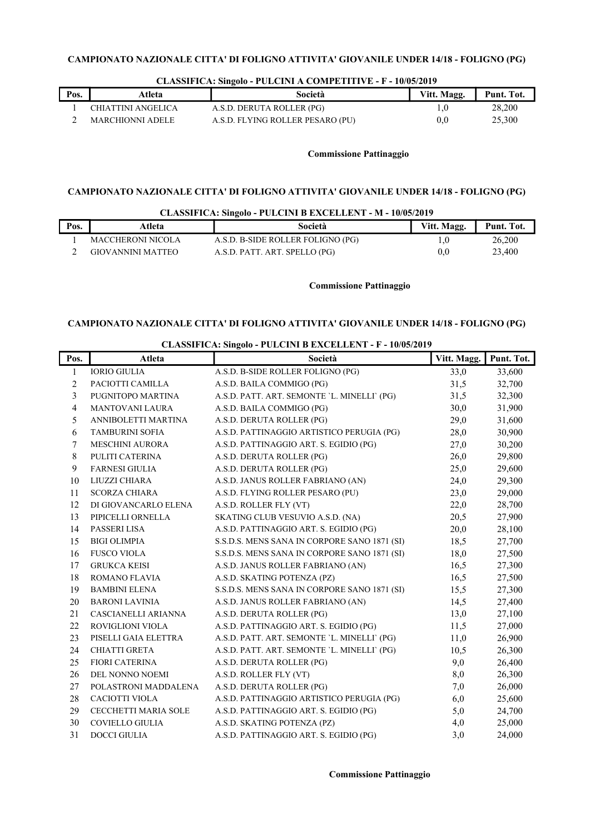| Pos. | Atleta                  | Società                          | Vitt. Magg. | Punt. Tot. |
|------|-------------------------|----------------------------------|-------------|------------|
|      | CHIATTINI ANGELICA      | A.S.D. DERUTA ROLLER (PG)        |             | 28,200     |
|      | <b>MARCHIONNI ADELE</b> | A.S.D. FLYING ROLLER PESARO (PU) | 0.0         | 25.300     |

### CLASSIFICA: Singolo - PULCINI A COMPETITIVE - F - 10/05/2019

# Commissione Pattinaggio

# CAMPIONATO NAZIONALE CITTA' DI FOLIGNO ATTIVITA' GIOVANILE UNDER 14/18 - FOLIGNO (PG)

### CLASSIFICA: Singolo - PULCINI B EXCELLENT - M - 10/05/2019

| Pos. | Atleta            | Società                           | Vitt. Magg. | Punt. Tot. |
|------|-------------------|-----------------------------------|-------------|------------|
|      | MACCHERONI NICOLA | A.S.D. B-SIDE ROLLER FOLIGNO (PG) |             | 26,200     |
|      | GIOVANNINI MATTEO | A.S.D. PATT. ART. SPELLO (PG)     | 0.0         | 23,400     |

### Commissione Pattinaggio

# CAMPIONATO NAZIONALE CITTA' DI FOLIGNO ATTIVITA' GIOVANILE UNDER 14/18 - FOLIGNO (PG)

# CLASSIFICA: Singolo - PULCINI B EXCELLENT - F - 10/05/2019

| Pos.           | Atleta                  | Società                                      | Vitt. Magg. | Punt. Tot. |
|----------------|-------------------------|----------------------------------------------|-------------|------------|
| 1              | <b>IORIO GIULIA</b>     | A.S.D. B-SIDE ROLLER FOLIGNO (PG)            | 33,0        | 33,600     |
| $\overline{2}$ | PACIOTTI CAMILLA        | A.S.D. BAILA COMMIGO (PG)                    | 31,5        | 32,700     |
| 3              | PUGNITOPO MARTINA       | A.S.D. PATT. ART. SEMONTE 'L. MINELLI' (PG)  | 31,5        | 32,300     |
| $\overline{4}$ | <b>MANTOVANI LAURA</b>  | A.S.D. BAILA COMMIGO (PG)                    | 30,0        | 31,900     |
| 5              | ANNIBOLETTI MARTINA     | A.S.D. DERUTA ROLLER (PG)                    | 29,0        | 31,600     |
| 6              | <b>TAMBURINI SOFIA</b>  | A.S.D. PATTINAGGIO ARTISTICO PERUGIA (PG)    | 28,0        | 30,900     |
| 7              | <b>MESCHINI AURORA</b>  | A.S.D. PATTINAGGIO ART. S. EGIDIO (PG)       | 27,0        | 30,200     |
| 8              | PULITI CATERINA         | A.S.D. DERUTA ROLLER (PG)                    | 26,0        | 29,800     |
| 9              | <b>FARNESI GIULIA</b>   | A.S.D. DERUTA ROLLER (PG)                    | 25,0        | 29,600     |
| 10             | LIUZZI CHIARA           | A.S.D. JANUS ROLLER FABRIANO (AN)            | 24,0        | 29,300     |
| 11             | <b>SCORZA CHIARA</b>    | A.S.D. FLYING ROLLER PESARO (PU)             | 23,0        | 29,000     |
| 12             | DI GIOVANCARLO ELENA    | A.S.D. ROLLER FLY (VT)                       | 22,0        | 28,700     |
| 13             | PIPICELLI ORNELLA       | SKATING CLUB VESUVIO A.S.D. (NA)             | 20,5        | 27,900     |
| 14             | PASSERI LISA            | A.S.D. PATTINAGGIO ART. S. EGIDIO (PG)       | 20,0        | 28,100     |
| 15             | <b>BIGI OLIMPIA</b>     | S.S.D.S. MENS SANA IN CORPORE SANO 1871 (SI) | 18,5        | 27,700     |
| 16             | <b>FUSCO VIOLA</b>      | S.S.D.S. MENS SANA IN CORPORE SANO 1871 (SI) | 18,0        | 27,500     |
| 17             | <b>GRUKCA KEISI</b>     | A.S.D. JANUS ROLLER FABRIANO (AN)            | 16,5        | 27,300     |
| 18             | ROMANO FLAVIA           | A.S.D. SKATING POTENZA (PZ)                  | 16,5        | 27,500     |
| 19             | <b>BAMBINI ELENA</b>    | S.S.D.S. MENS SANA IN CORPORE SANO 1871 (SI) | 15,5        | 27,300     |
| 20             | <b>BARONI LAVINIA</b>   | A.S.D. JANUS ROLLER FABRIANO (AN)            | 14,5        | 27,400     |
| 21             | CASCIANELLI ARIANNA     | A.S.D. DERUTA ROLLER (PG)                    | 13,0        | 27,100     |
| 22             | <b>ROVIGLIONI VIOLA</b> | A.S.D. PATTINAGGIO ART. S. EGIDIO (PG)       | 11,5        | 27,000     |
| 23             | PISELLI GAIA ELETTRA    | A.S.D. PATT. ART. SEMONTE 'L. MINELLI' (PG)  | 11,0        | 26,900     |
| 24             | <b>CHIATTI GRETA</b>    | A.S.D. PATT. ART. SEMONTE 'L. MINELLI' (PG)  | 10,5        | 26,300     |
| 25             | <b>FIORI CATERINA</b>   | A.S.D. DERUTA ROLLER (PG)                    | 9,0         | 26,400     |
| 26             | DEL NONNO NOEMI         | A.S.D. ROLLER FLY (VT)                       | 8,0         | 26,300     |
| 27             | POLASTRONI MADDALENA    | A.S.D. DERUTA ROLLER (PG)                    | 7,0         | 26,000     |
| 28             | <b>CACIOTTI VIOLA</b>   | A.S.D. PATTINAGGIO ARTISTICO PERUGIA (PG)    | 6,0         | 25,600     |
| 29             | CECCHETTI MARIA SOLE    | A.S.D. PATTINAGGIO ART. S. EGIDIO (PG)       | 5,0         | 24,700     |
| 30             | COVIELLO GIULIA         | A.S.D. SKATING POTENZA (PZ)                  | 4,0         | 25,000     |
| 31             | <b>DOCCI GIULIA</b>     | A.S.D. PATTINAGGIO ART. S. EGIDIO (PG)       | 3,0         | 24,000     |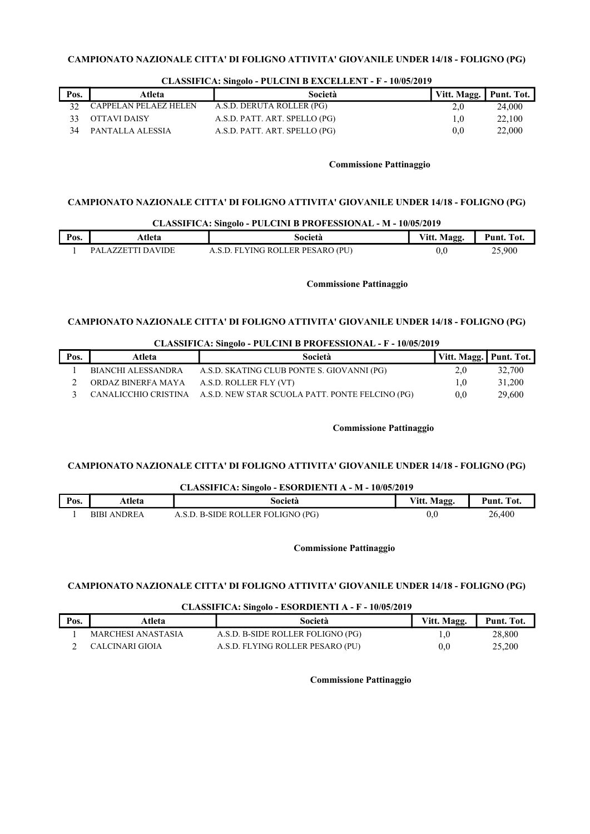| Pos. | Atleta                | Società                       | Vitt. Magg. Punt. Tot. |        |
|------|-----------------------|-------------------------------|------------------------|--------|
|      | CAPPELAN PELAEZ HELEN | A.S.D. DERUTA ROLLER (PG)     | 2.0                    | 24,000 |
|      | OTTAVI DAISY          | A.S.D. PATT. ART. SPELLO (PG) |                        | 22,100 |
|      | PANTALLA ALESSIA      | A.S.D. PATT. ART. SPELLO (PG) | 0.0                    | 22,000 |

### CLASSIFICA: Singolo - PULCINI B EXCELLENT - F - 10/05/2019

### Commissione Pattinaggio

# CAMPIONATO NAZIONALE CITTA' DI FOLIGNO ATTIVITA' GIOVANILE UNDER 14/18 - FOLIGNO (PG)

### CLASSIFICA: Singolo - PULCINI B PROFESSIONAL - M - 10/05/2019

| Pos. | Atleta                                                      | Società                               | Vitt. Magg. | $\blacksquare$<br>Punt.<br>'Tot |
|------|-------------------------------------------------------------|---------------------------------------|-------------|---------------------------------|
|      | <b>DAVIDE</b><br>$\mathbf{D} \Delta$ .<br>7 H<br>$\Delta$ . | LER PESARO (PU)<br>ZING ROLL<br>- H L |             | 25.900<br>روب                   |

### Commissione Pattinaggio

### CAMPIONATO NAZIONALE CITTA' DI FOLIGNO ATTIVITA' GIOVANILE UNDER 14/18 - FOLIGNO (PG)

### CLASSIFICA: Singolo - PULCINI B PROFESSIONAL - F - 10/05/2019

| Pos. | Atleta             | Società                                                              | Vitt. Magg.   Punt. Tot. |        |
|------|--------------------|----------------------------------------------------------------------|--------------------------|--------|
|      | BIANCHI ALESSANDRA | A.S.D. SKATING CLUB PONTE S. GIOVANNI (PG)                           | 2.0                      | 32,700 |
|      | ORDAZ BINERFA MAYA | A.S.D. ROLLER FLY (VT)                                               | 1.0                      | 31,200 |
|      |                    | CANALICCHIO CRISTINA A.S.D. NEW STAR SCUOLA PATT. PONTE FELCINO (PG) | $0.0^{\circ}$            | 29,600 |

### Commissione Pattinaggio

# CAMPIONATO NAZIONALE CITTA' DI FOLIGNO ATTIVITA' GIOVANILE UNDER 14/18 - FOLIGNO (PG)

### CLASSIFICA: Singolo - ESORDIENTI A - M - 10/05/2019

| Pos. | Atleta                | Società                       | Magg.<br>Vitt. | $\overline{\phantom{a}}$ Tot.<br>Punt. |
|------|-----------------------|-------------------------------|----------------|----------------------------------------|
|      | ANDREA<br><b>BIBI</b> | ). B-SIDE ROLLER FOLIGNO (PG) | v.u            | 26,400                                 |

Commissione Pattinaggio

# CAMPIONATO NAZIONALE CITTA' DI FOLIGNO ATTIVITA' GIOVANILE UNDER 14/18 - FOLIGNO (PG)

### CLASSIFICA: Singolo - ESORDIENTI A - F - 10/05/2019

| Pos. | Atleta             | Società                           | Vitt. Magg. | Punt. Tot. |
|------|--------------------|-----------------------------------|-------------|------------|
|      | MARCHESI ANASTASIA | A.S.D. B-SIDE ROLLER FOLIGNO (PG) |             | 28,800     |
|      | CALCINARI GIOIA    | A.S.D. FLYING ROLLER PESARO (PU)  | 0,0         | 25,200     |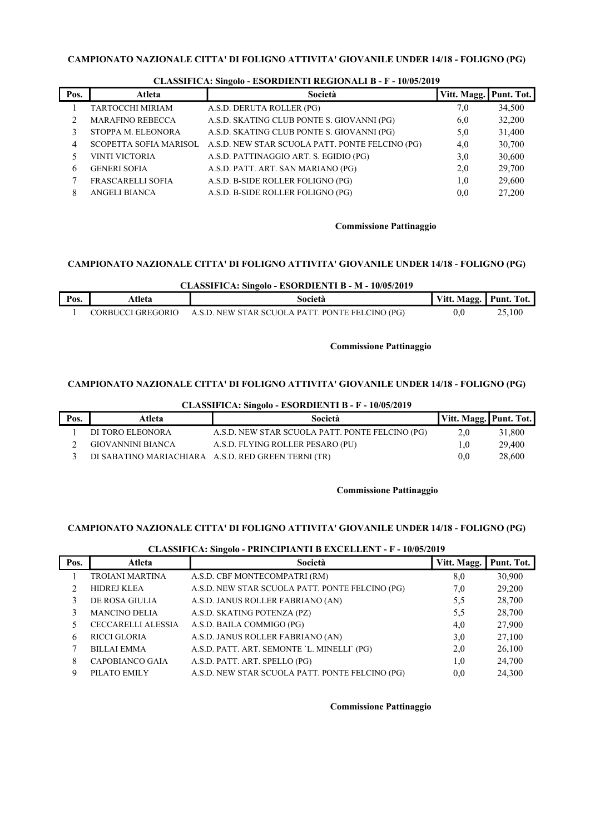| Pos. | Atleta                   | Società                                                                | Vitt. Magg. | Punt. Tot. |
|------|--------------------------|------------------------------------------------------------------------|-------------|------------|
|      | TARTOCCHI MIRIAM         | A.S.D. DERUTA ROLLER (PG)                                              | 7,0         | 34,500     |
|      | <b>MARAFINO REBECCA</b>  | A.S.D. SKATING CLUB PONTE S. GIOVANNI (PG)                             | 6,0         | 32,200     |
|      | STOPPA M. ELEONORA       | A.S.D. SKATING CLUB PONTE S. GIOVANNI (PG)                             | 5,0         | 31,400     |
|      |                          | SCOPETTA SOFIA MARISOL A.S.D. NEW STAR SCUOLA PATT. PONTE FELCINO (PG) | 4,0         | 30,700     |
|      | <b>VINTI VICTORIA</b>    | A.S.D. PATTINAGGIO ART. S. EGIDIO (PG)                                 | 3,0         | 30,600     |
| 6    | <b>GENERI SOFIA</b>      | A.S.D. PATT. ART. SAN MARIANO (PG)                                     | 2,0         | 29,700     |
|      | <b>FRASCARELLI SOFIA</b> | A.S.D. B-SIDE ROLLER FOLIGNO (PG)                                      | 1,0         | 29,600     |
| 8    | <b>ANGELI BIANCA</b>     | A.S.D. B-SIDE ROLLER FOLIGNO (PG)                                      | 0.0         | 27,200     |

### CLASSIFICA: Singolo - ESORDIENTI REGIONALI B - F - 10/05/2019

# Commissione Pattinaggio

# CAMPIONATO NAZIONALE CITTA' DI FOLIGNO ATTIVITA' GIOVANILE UNDER 14/18 - FOLIGNO (PG)

### CLASSIFICA: Singolo - ESORDIENTI B - M - 10/05/2019

| Pos. | tleta                | Società                                         | Vitt<br>itt. Magg<br>88 | Punt.<br>Tot.  |
|------|----------------------|-------------------------------------------------|-------------------------|----------------|
|      | GREGORIO<br>70 RH 17 | A.S.D. NEW STAR SCUOLA PATT. PONTE FELCINO (PG) | υ.                      | $\angle 5,100$ |

### Commissione Pattinaggio

# CAMPIONATO NAZIONALE CITTA' DI FOLIGNO ATTIVITA' GIOVANILE UNDER 14/18 - FOLIGNO (PG)

| CLASSIFICA: SINGOIO - ESORDIEN I I B - F - IV/05/2019 |                   |                                                     |                        |        |  |
|-------------------------------------------------------|-------------------|-----------------------------------------------------|------------------------|--------|--|
| Pos.                                                  | Atleta            | Società                                             | Vitt. Magg. Punt. Tot. |        |  |
|                                                       | DI TORO ELEONORA  | A.S.D. NEW STAR SCUOLA PATT. PONTE FELCINO (PG)     | 2,0                    | 31,800 |  |
|                                                       | GIOVANNINI BIANCA | A.S.D. FLYING ROLLER PESARO (PU)                    | 0.1                    | 29,400 |  |
|                                                       |                   | DI SABATINO MARIACHIARA A.S.D. RED GREEN TERNI (TR) | 0.0 <sub>1</sub>       | 28,600 |  |

# CLASSIFICA: Singolo - ESORDIENTI B - F - 10/05/2019

### Commissione Pattinaggio

### CAMPIONATO NAZIONALE CITTA' DI FOLIGNO ATTIVITA' GIOVANILE UNDER 14/18 - FOLIGNO (PG)

### CLASSIFICA: Singolo - PRINCIPIANTI B EXCELLENT - F - 10/05/2019

| Pos. | Atleta                    | -<br>Società                                    | Vitt. Magg. | Punt. Tot. |
|------|---------------------------|-------------------------------------------------|-------------|------------|
|      | TROIANI MARTINA           | A.S.D. CBF MONTECOMPATRI (RM)                   | 8,0         | 30,900     |
|      | <b>HIDREJ KLEA</b>        | A.S.D. NEW STAR SCUOLA PATT. PONTE FELCINO (PG) | 7,0         | 29,200     |
|      | DE ROSA GIULIA            | A.S.D. JANUS ROLLER FABRIANO (AN)               | 5,5         | 28,700     |
|      | <b>MANCINO DELIA</b>      | A.S.D. SKATING POTENZA (PZ)                     | 5,5         | 28,700     |
|      | <b>CECCARELLI ALESSIA</b> | A.S.D. BAILA COMMIGO (PG)                       | 4,0         | 27,900     |
| 6    | <b>RICCI GLORIA</b>       | A.S.D. JANUS ROLLER FABRIANO (AN)               | 3,0         | 27,100     |
|      | <b>BILLAI EMMA</b>        | A.S.D. PATT. ART. SEMONTE 'L. MINELLI' (PG)     | 2,0         | 26,100     |
| 8    | CAPOBIANCO GAIA           | A.S.D. PATT. ART. SPELLO (PG)                   | 1,0         | 24,700     |
| 9    | PILATO EMILY              | A.S.D. NEW STAR SCUOLA PATT. PONTE FELCINO (PG) | 0.0         | 24,300     |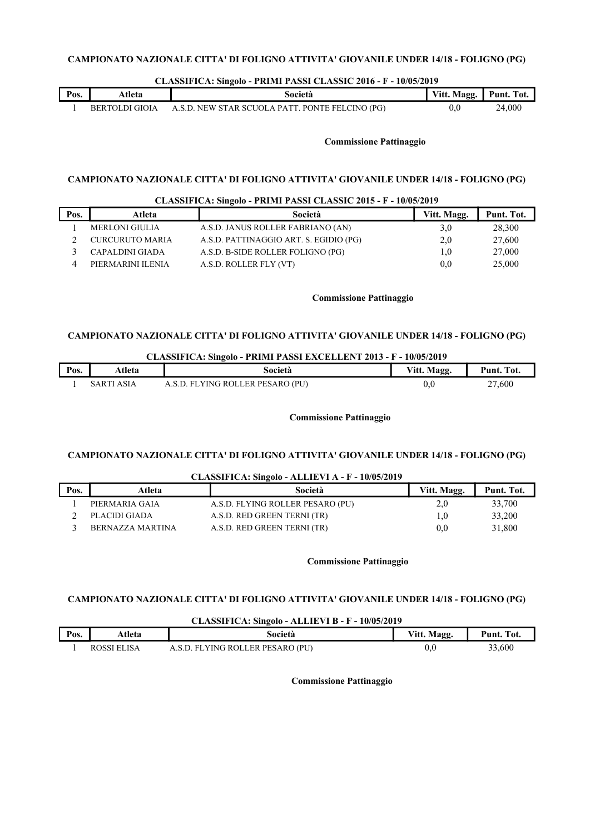### CLASSIFICA: Singolo - PRIMI PASSI CLASSIC 2016 - F - 10/05/2019

| Pos. | Atleta                | Società                                         | Vitt. Magg. | Punt. Tot. |
|------|-----------------------|-------------------------------------------------|-------------|------------|
|      | <b>BERTOLDI GIOIA</b> | A.S.D. NEW STAR SCUOLA PATT. PONTE FELCINO (PG) | v.v         | 24,000     |

### Commissione Pattinaggio

# CAMPIONATO NAZIONALE CITTA' DI FOLIGNO ATTIVITA' GIOVANILE UNDER 14/18 - FOLIGNO (PG)

# CLASSIFICA: Singolo - PRIMI PASSI CLASSIC 2015 - F - 10/05/2019 Pos. | Atleta | Società | Vitt. Magg. | Punt. Tot. 1 MERLONI GIULIA A.S.D. JANUS ROLLER FABRIANO (AN) 3,0 28,300 2 CURCURUTO MARIA A.S.D. PATTINAGGIO ART. S. EGIDIO (PG) 2,0 27,600 3 CAPALDINI GIADA A.S.D. B-SIDE ROLLER FOLIGNO (PG) 1,0 27,000 4 PIERMARINI ILENIA A.S.D. ROLLER FLY (VT) 0.0 25,000

### Commissione Pattinaggio

# CAMPIONATO NAZIONALE CITTA' DI FOLIGNO ATTIVITA' GIOVANILE UNDER 14/18 - FOLIGNO (PG)

| CLASSIFICA: Singolo - PRIMI PASSI EXCELLENT 2013 - F - 10/05/2019 |  |                                                |  |
|-------------------------------------------------------------------|--|------------------------------------------------|--|
|                                                                   |  | $\mathbf{r}$ and $\mathbf{r}$ and $\mathbf{r}$ |  |

| Pos. | Atleta  | società                                | Vitt. Magg. | Tot.<br>Punt   |
|------|---------|----------------------------------------|-------------|----------------|
|      | 5 A R T | LYING ROLLER PESARO (PU)<br>SD FI<br>А | 0.0         | $\angle 7,600$ |

### Commissione Pattinaggio

### CAMPIONATO NAZIONALE CITTA' DI FOLIGNO ATTIVITA' GIOVANILE UNDER 14/18 - FOLIGNO (PG)

| CLASSIFICA: Singolo - ALLIEVI A - F - 10/05/2019 |                         |                                  |             |            |
|--------------------------------------------------|-------------------------|----------------------------------|-------------|------------|
| Pos.                                             | Atleta                  | Società                          | Vitt. Magg. | Punt. Tot. |
|                                                  | PIERMARIA GAIA          | A.S.D. FLYING ROLLER PESARO (PU) | 2,0         | 33,700     |
|                                                  | PLACIDI GIADA           | A.S.D. RED GREEN TERNI (TR)      | 0.1         | 33,200     |
|                                                  | <b>BERNAZZA MARTINA</b> | A.S.D. RED GREEN TERNI (TR)      | 0.0         | 31,800     |

### Commissione Pattinaggio

### CAMPIONATO NAZIONALE CITTA' DI FOLIGNO ATTIVITA' GIOVANILE UNDER 14/18 - FOLIGNO (PG)

### CLASSIFICA: Singolo - ALLIEVI B - F - 10/05/2019

| Pos. | Atleta      | Società                          | Vitt. Magg. | Punt. Tot. |
|------|-------------|----------------------------------|-------------|------------|
|      | ROSSI ELISA | A.S.D. FLYING ROLLER PESARO (PU) | 0(          | 33,600     |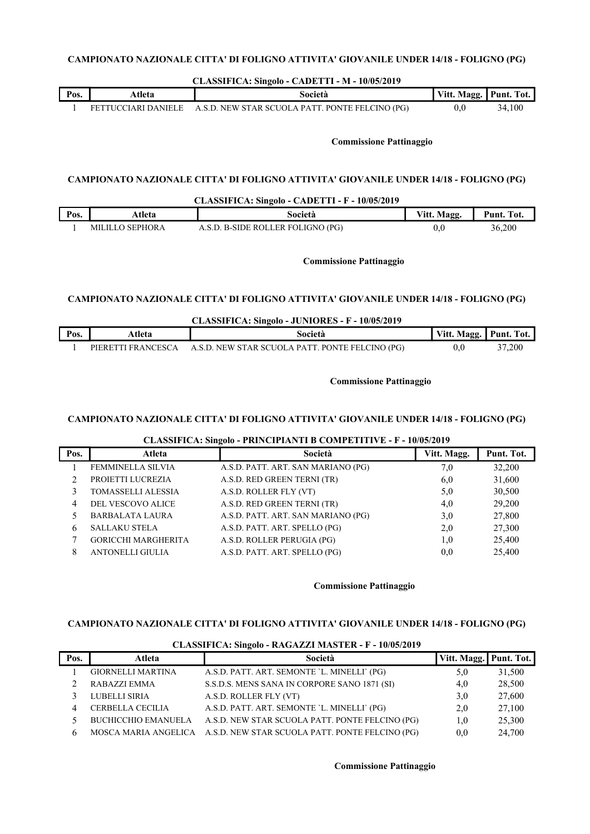| CLASSIFICA: Singolo - CADETTI - M - 10/05/2019                                        |                                |                                                 |             |            |  |
|---------------------------------------------------------------------------------------|--------------------------------|-------------------------------------------------|-------------|------------|--|
| Pos.                                                                                  | Atleta                         | Società                                         | Vitt. Magg. | Punt. Tot. |  |
|                                                                                       | FETTUCCIARI DANIELE            | A.S.D. NEW STAR SCUOLA PATT. PONTE FELCINO (PG) | 0.0         | 34,100     |  |
|                                                                                       | <b>Commissione Pattinaggio</b> |                                                 |             |            |  |
| CAMPIONATO NAZIONALE CITTA' DI FOLIGNO ATTIVITA' GIOVANILE UNDER 14/18 - FOLIGNO (PG) |                                |                                                 |             |            |  |

| CLASSIFICA: Singolo - CADETTI - F - 10/05/2019 |                 |                                   |             |            |
|------------------------------------------------|-----------------|-----------------------------------|-------------|------------|
| Pos.                                           | Atleta          | Società                           | Vitt. Magg. | Punt. Tot. |
|                                                | MILILLO SEPHORA | A.S.D. B-SIDE ROLLER FOLIGNO (PG) | $0.0\,$     | 36,200     |

Commissione Pattinaggio

# CAMPIONATO NAZIONALE CITTA' DI FOLIGNO ATTIVITA' GIOVANILE UNDER 14/18 - FOLIGNO (PG)

|      | CLASSIFICA: Singolo - JUNIORES - F - 10/05/2019 |                                                 |                        |        |  |
|------|-------------------------------------------------|-------------------------------------------------|------------------------|--------|--|
| Pos. | Atleta                                          | Società                                         | Vitt. Magg. Punt. Tot. |        |  |
|      | PIERETTI FRANCESCA                              | A.S.D. NEW STAR SCUOLA PATT. PONTE FELCINO (PG) | 0.0                    | 37,200 |  |

### Commissione Pattinaggio

# CAMPIONATO NAZIONALE CITTA' DI FOLIGNO ATTIVITA' GIOVANILE UNDER 14/18 - FOLIGNO (PG)

| Pos. | Atleta                     | Società                            | Vitt. Magg. | Punt. Tot. |
|------|----------------------------|------------------------------------|-------------|------------|
|      | <b>FEMMINELLA SILVIA</b>   | A.S.D. PATT. ART. SAN MARIANO (PG) | 7,0         | 32,200     |
|      | PROJETTI LUCREZIA          | A.S.D. RED GREEN TERNI (TR)        | 6,0         | 31,600     |
|      | TOMASSELLI ALESSIA         | A.S.D. ROLLER FLY (VT)             | 5,0         | 30,500     |
|      | DEL VESCOVO ALICE          | A.S.D. RED GREEN TERNI (TR)        | 4,0         | 29,200     |
|      | <b>BARBALATA LAURA</b>     | A.S.D. PATT. ART. SAN MARIANO (PG) | 3,0         | 27,800     |
| 6    | <b>SALLAKU STELA</b>       | A.S.D. PATT. ART. SPELLO (PG)      | 2,0         | 27,300     |
|      | <b>GORICCHI MARGHERITA</b> | A.S.D. ROLLER PERUGIA (PG)         | 1,0         | 25,400     |
| 8    | <b>ANTONELLI GIULIA</b>    | A.S.D. PATT. ART. SPELLO (PG)      | 0,0         | 25,400     |

# CLASSIFICA: Singolo - PRINCIPIANTI B COMPETITIVE - F - 10/05/2019

### Commissione Pattinaggio

### CAMPIONATO NAZIONALE CITTA' DI FOLIGNO ATTIVITA' GIOVANILE UNDER 14/18 - FOLIGNO (PG)

|      | CERNOOM TOTAL OINE OIN TRANSPARED INTENSIER TO THE TOP OUT FOLL |                                                                      |                        |        |  |  |
|------|-----------------------------------------------------------------|----------------------------------------------------------------------|------------------------|--------|--|--|
| Pos. | Atleta                                                          | Società                                                              | Vitt. Magg. Punt. Tot. |        |  |  |
|      | <b>GIORNELLI MARTINA</b>                                        | A.S.D. PATT. ART. SEMONTE 'L. MINELLI' (PG)                          | 5,0                    | 31,500 |  |  |
|      | RABAZZI EMMA                                                    | S.S.D.S. MENS SANA IN CORPORE SANO 1871 (SI)                         | 4,0                    | 28,500 |  |  |
|      | LUBELLI SIRIA                                                   | A.S.D. ROLLER FLY (VT)                                               | 3,0                    | 27,600 |  |  |
| 4    | CERBELLA CECILIA                                                | A.S.D. PATT. ART. SEMONTE 'L. MINELLI' (PG)                          | 2,0                    | 27,100 |  |  |
|      |                                                                 | BUCHICCHIO EMANUELA A.S.D. NEW STAR SCUOLA PATT. PONTE FELCINO (PG)  | 1,0                    | 25,300 |  |  |
|      |                                                                 | MOSCA MARIA ANGELICA A.S.D. NEW STAR SCUOLA PATT. PONTE FELCINO (PG) | 0,0                    | 24,700 |  |  |

### CLASSIFICA: Singolo - RAGAZZI MASTER - F - 10/05/2019